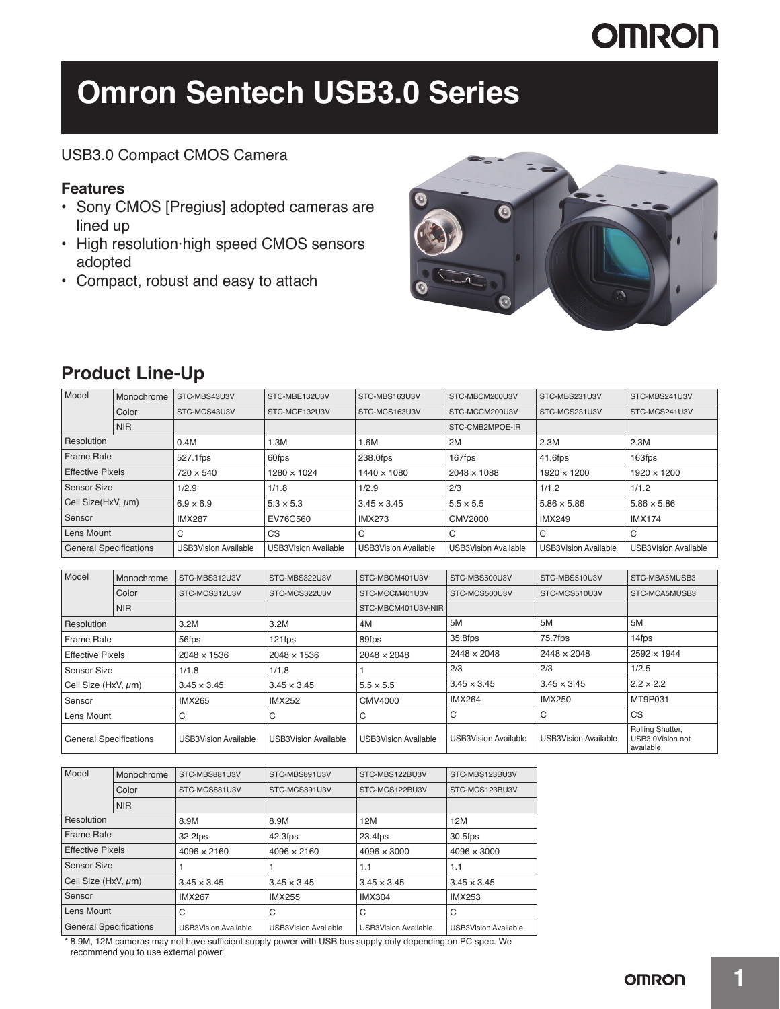# **OMRON**

# **Omron Sentech USB3.0 Series**

### USB3.0 Compact CMOS Camera

### **Features**

- Sony CMOS [Pregius] adopted cameras are lined up
- High resolution·high speed CMOS sensors adopted
- Compact, robust and easy to attach



### **Product Line-Up**

| Model                         | Monochrome | STC-MBS43U3V                | STC-MBE132U3V               | STC-MBS163U3V               | STC-MBCM200U3V              | STC-MBS231U3V               | STC-MBS241U3V               |
|-------------------------------|------------|-----------------------------|-----------------------------|-----------------------------|-----------------------------|-----------------------------|-----------------------------|
| Color                         |            | STC-MCS43U3V                | STC-MCE132U3V               | STC-MCS163U3V               | STC-MCCM200U3V              | STC-MCS231U3V               | STC-MCS241U3V               |
| <b>NIR</b>                    |            |                             |                             |                             | STC-CMB2MPOE-IR             |                             |                             |
| Resolution                    |            | 0.4M                        | 1.3M                        | 1.6M                        | 2M<br>2.3M                  |                             | 2.3M                        |
| <b>Frame Rate</b>             |            | 527.1fps                    | 60fps                       | 238.0fps                    | 167fps                      | 41.6fps                     | 163fps                      |
| <b>Effective Pixels</b>       |            | $720 \times 540$            | 1280 × 1024                 | $1440 \times 1080$          | $2048 \times 1088$          | 1920 × 1200                 | 1920 × 1200                 |
| <b>Sensor Size</b>            |            | 1/2.9                       | 1/1.8                       | 1/2.9                       | 2/3                         | 1/1.2                       | 1/1.2                       |
| Cell Size(HxV, µm)            |            | $6.9 \times 6.9$            | $5.3 \times 5.3$            | $3.45 \times 3.45$          | $5.5 \times 5.5$            | $5.86 \times 5.86$          | $5.86 \times 5.86$          |
| Sensor                        |            | <b>IMX287</b>               | EV76C560                    | <b>IMX273</b>               | CMV2000                     | <b>IMX249</b>               | <b>IMX174</b>               |
| Lens Mount                    |            | C                           | CS                          | C                           | C                           | C                           | C                           |
| <b>General Specifications</b> |            | <b>USB3Vision Available</b> | <b>USB3Vision Available</b> | <b>USB3Vision Available</b> | <b>USB3Vision Available</b> | <b>USB3Vision Available</b> | <b>USB3Vision Available</b> |

| Model<br>Monochrome           |            | STC-MBS312U3V               | STC-MBS322U3V               | STC-MBCM401U3V              | STC-MBS500U3V               | STC-MBS510U3V               | STC-MBA5MUSB3                                     |
|-------------------------------|------------|-----------------------------|-----------------------------|-----------------------------|-----------------------------|-----------------------------|---------------------------------------------------|
|                               | Color      | STC-MCS312U3V               | STC-MCS322U3V               | STC-MCCM401U3V              | STC-MCS500U3V               | STC-MCS510U3V               | STC-MCA5MUSB3                                     |
|                               | <b>NIR</b> |                             |                             | STC-MBCM401U3V-NIR          |                             |                             |                                                   |
| Resolution                    |            | 3.2M                        | 3.2M                        | 4M                          | 5M                          | 5M                          | 5M                                                |
| <b>Frame Rate</b>             |            | 56fps                       | 121fps                      | 89fps                       | 35.8fps                     | 75.7fps                     | 14fps                                             |
| <b>Effective Pixels</b>       |            | 2048 × 1536                 | $2048 \times 1536$          | $2048 \times 2048$          | $2448 \times 2048$          | $2448 \times 2048$          | $2592 \times 1944$                                |
| Sensor Size                   |            | 1/1.8                       | 1/1.8                       |                             | 2/3                         | 2/3                         | 1/2.5                                             |
| Cell Size (HxV, $\mu$ m)      |            | $3.45 \times 3.45$          | $3.45 \times 3.45$          | $5.5 \times 5.5$            | $3.45 \times 3.45$          | $3.45 \times 3.45$          | $2.2 \times 2.2$                                  |
| Sensor                        |            | <b>IMX265</b>               | <b>IMX252</b>               | <b>CMV4000</b>              | <b>IMX264</b>               | <b>IMX250</b>               | MT9P031                                           |
| Lens Mount                    |            | С                           | С                           | C                           | C                           | C                           | CS                                                |
| <b>General Specifications</b> |            | <b>USB3Vision Available</b> | <b>USB3Vision Available</b> | <b>USB3Vision Available</b> | <b>USB3Vision Available</b> | <b>USB3Vision Available</b> | Rolling Shutter,<br>USB3.0Vision not<br>available |

| Model<br>Monochrome           |            | STC-MBS881U3V               | STC-MBS891U3V               | STC-MBS122BU3V              | STC-MBS123BU3V              |
|-------------------------------|------------|-----------------------------|-----------------------------|-----------------------------|-----------------------------|
|                               | Color      | STC-MCS881U3V               | STC-MCS891U3V               | STC-MCS122BU3V              | STC-MCS123BU3V              |
|                               | <b>NIR</b> |                             |                             |                             |                             |
| Resolution                    |            | 8.9M                        | 8.9M                        | 12M                         | 12M                         |
| Frame Rate                    |            | 32.2fps                     | 42.3fps                     | $23.4$ fps                  | 30.5fps                     |
| <b>Effective Pixels</b>       |            | $4096 \times 2160$          | $4096 \times 2160$          | $4096 \times 3000$          | $4096 \times 3000$          |
| Sensor Size                   |            |                             |                             | 1.1                         | 1.1                         |
| Cell Size (HxV, $\mu$ m)      |            | $3.45 \times 3.45$          | $3.45 \times 3.45$          | $3.45 \times 3.45$          | $3.45 \times 3.45$          |
| Sensor                        |            | <b>IMX267</b>               | <b>IMX255</b>               | <b>IMX304</b>               | <b>IMX253</b>               |
| Lens Mount                    |            | C                           | C                           | C                           | C                           |
| <b>General Specifications</b> |            | <b>USB3Vision Available</b> | <b>USB3Vision Available</b> | <b>USB3Vision Available</b> | <b>USB3Vision Available</b> |

\* 8.9M, 12M cameras may not have sufficient supply power with USB bus supply only depending on PC spec. We recommend you to use external power.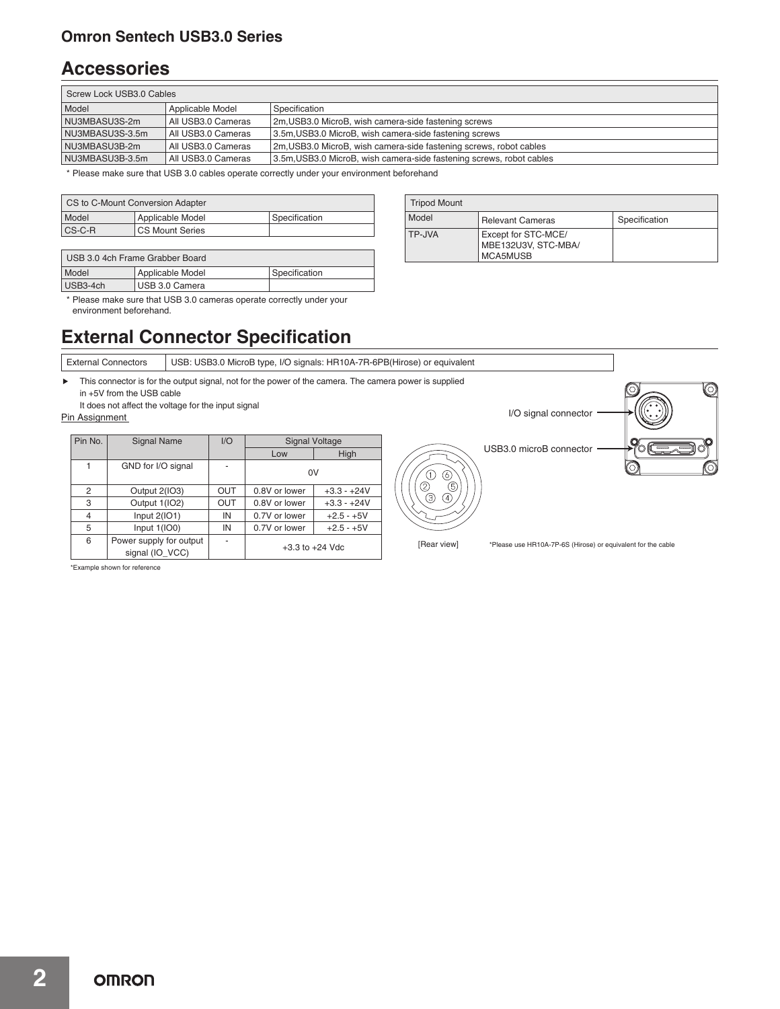### **Omron Sentech USB3.0 Series**

### **Accessories**

| Screw Lock USB3.0 Cables                                                                                      |                      |                                                                    |  |  |  |  |
|---------------------------------------------------------------------------------------------------------------|----------------------|--------------------------------------------------------------------|--|--|--|--|
| Model                                                                                                         | Applicable Model     | Specification                                                      |  |  |  |  |
| NU3MBASU3S-2m                                                                                                 | All USB3.0 Cameras   | 2m, USB3.0 MicroB, wish camera-side fastening screws               |  |  |  |  |
| NU3MBASU3S-3.5m                                                                                               | l All USB3.0 Cameras | 3.5m, USB3.0 MicroB, wish camera-side fastening screws             |  |  |  |  |
| NU3MBASU3B-2m                                                                                                 | All USB3.0 Cameras   | 2m, USB3.0 MicroB, wish camera-side fastening screws, robot cables |  |  |  |  |
| 3.5m, USB3.0 MicroB, wish camera-side fastening screws, robot cables<br>NU3MBASU3B-3.5m<br>All USB3.0 Cameras |                      |                                                                    |  |  |  |  |

Tripod Mount

Model Relevant Cameras Specification

MBE132U3V, STC-MBA/

TP-JVA Except for STC-MCE/

MCA5MUSB

\* Please make sure that USB 3.0 cables operate correctly under your environment beforehand

| CS to C-Mount Conversion Adapter                  |                   |               |  |  |  |
|---------------------------------------------------|-------------------|---------------|--|--|--|
| Model                                             | Applicable Model  | Specification |  |  |  |
| $\mathsf{CS}\text{-}\mathsf{C}\text{-}\mathsf{R}$ | l CS Mount Series |               |  |  |  |

| USB 3.0 4ch Frame Grabber Board |                  |               |  |  |  |
|---------------------------------|------------------|---------------|--|--|--|
| Model                           | Applicable Model | Specification |  |  |  |
| USB3-4ch                        | l USB 3.0 Camera |               |  |  |  |

\* Please make sure that USB 3.0 cameras operate correctly under your environment beforehand.

## **External Connector Specification**

| <b>External Connectors</b>                                                                                                                                                                                     |                                            |                          |                              |                     |             |                                                              |    |  |
|----------------------------------------------------------------------------------------------------------------------------------------------------------------------------------------------------------------|--------------------------------------------|--------------------------|------------------------------|---------------------|-------------|--------------------------------------------------------------|----|--|
| This connector is for the output signal, not for the power of the camera. The camera power is supplied<br>in $+5V$ from the USB cable<br>It does not affect the voltage for the input signal<br>Pin Assignment | (O)                                        |                          |                              |                     |             |                                                              |    |  |
| Pin No.                                                                                                                                                                                                        | <b>Signal Name</b>                         | I/O                      | <b>Signal Voltage</b><br>Low | High                |             | USB3.0 microB connector                                      |    |  |
|                                                                                                                                                                                                                | GND for I/O signal                         |                          | 0V                           |                     | 6           |                                                              | O. |  |
| 2                                                                                                                                                                                                              | Output 2(IO3)                              | OUT                      | 0.8V or lower                | $+3.3 - +24V$       | ⑤<br>C)     |                                                              |    |  |
| 3                                                                                                                                                                                                              | Output 1(IO2)                              | OUT                      | 0.8V or lower                | $+3.3 - +24V$       | ☺<br>④      |                                                              |    |  |
| 4                                                                                                                                                                                                              | Input $2(101)$                             | IN                       | 0.7V or lower                | $+2.5 - +5V$        |             |                                                              |    |  |
| 5                                                                                                                                                                                                              | Input $1(100)$                             | IN                       | 0.7V or lower                | $+2.5 - +5V$        |             |                                                              |    |  |
| 6                                                                                                                                                                                                              | Power supply for output<br>signal (IO VCC) | $\overline{\phantom{a}}$ |                              | $+3.3$ to $+24$ Vdc | [Rear view] | *Please use HR10A-7P-6S (Hirose) or equivalent for the cable |    |  |

\*Example shown for reference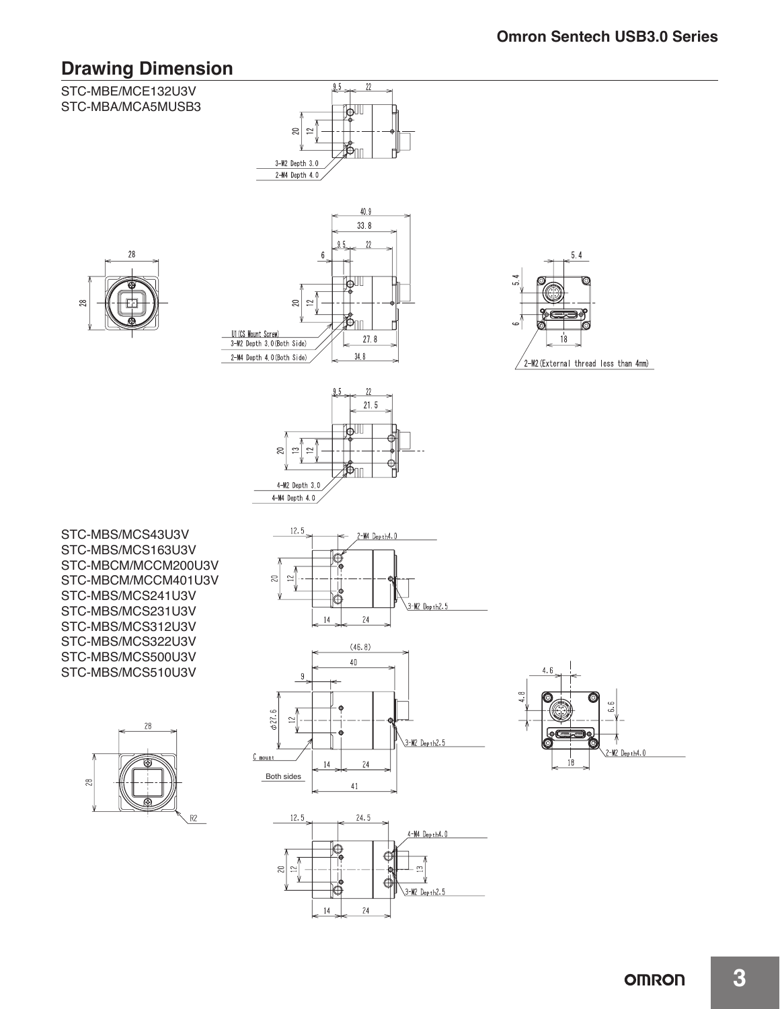## **Drawing Dimension**

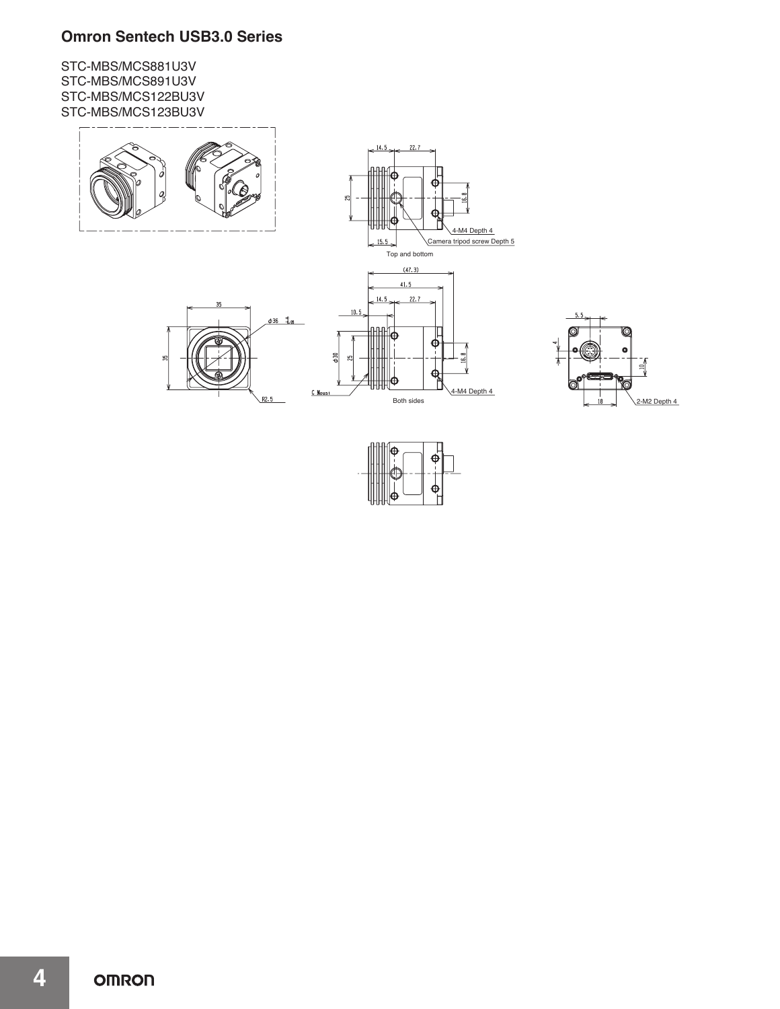### **Omron Sentech USB3.0 Series**

STC-MBS/MCS881U3V STC-MBS/MCS891U3V STC-MBS/MCS122BU3V STC-MBS/MCS123BU3V